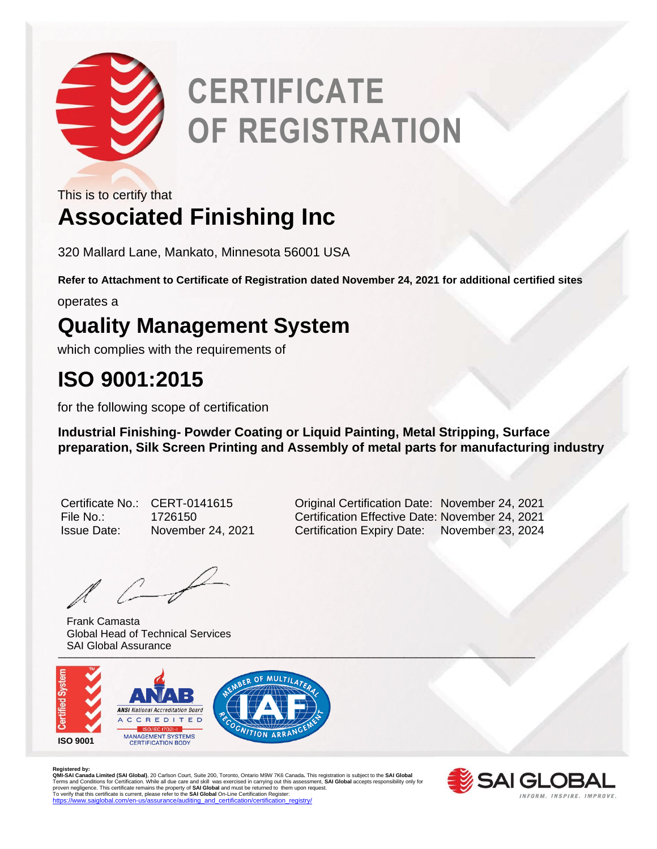

# **CERTIFICATE OF REGISTRATION**

This is to certify that

### **Associated Finishing Inc**

320 Mallard Lane, Mankato, Minnesota 56001 USA

**Refer to Attachment to Certificate of Registration dated November 24, 2021 for additional certified sites**

operates a

#### **Quality Management System**

which complies with the requirements of

#### **ISO 9001:2015**

for the following scope of certification

**Industrial Finishing- Powder Coating or Liquid Painting, Metal Stripping, Surface preparation, Silk Screen Printing and Assembly of metal parts for manufacturing industry** 

Issue Date: November 24, 2021 Certification Expiry Date: November 23, 2024

 $\mathbb{A}$   $\mathbb{C}$ 

\_\_\_\_\_\_\_\_\_\_\_\_\_\_\_\_\_\_\_\_\_\_\_\_\_\_\_\_\_\_\_\_\_\_\_\_\_\_\_\_\_\_\_\_\_\_\_\_\_\_\_\_\_\_\_\_\_\_\_\_\_\_\_\_\_\_\_\_\_\_\_\_\_\_\_\_\_\_\_\_ Frank Camasta Global Head of Technical Services SAI Global Assurance



R**egistered by:**<br>QMI-SAI Canada Limited (SAI Global), 20 Carlson Court, Suite 200, Toronto, Ontario M9W 7K6 Canada. This registration is subject to the SAI Global<br>Terms and Conditions for Certification. While all due care [https://www.saiglobal.com/en-us/assurance/auditing\\_and\\_certification/certification\\_registry/](https://www.saiglobal.com/en-us/assurance/auditing_and_certification/certification_registry/)



Certificate No.: CERT-0141615 Original Certification Date: November 24, 2021 File No.: 1726150 Certification Effective Date: November 24, 2021